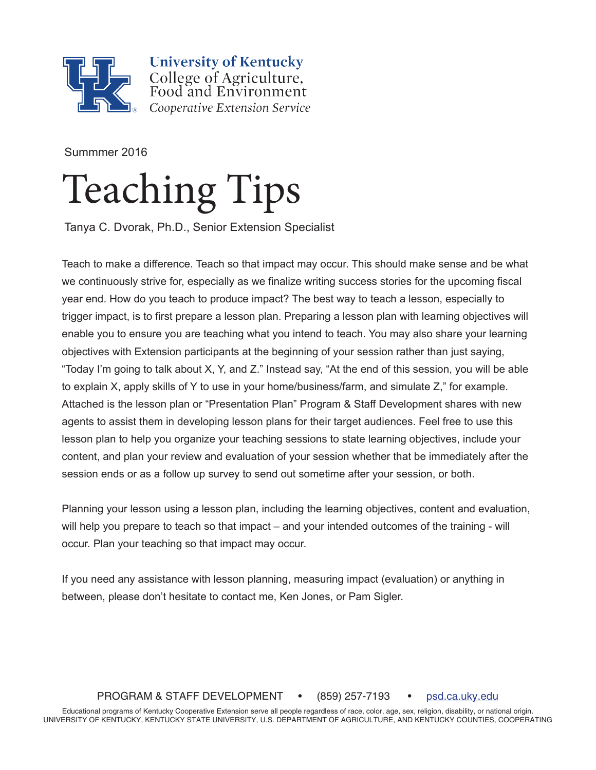

**University of Kentucky** College of Agriculture, Food and Environment Cooperative Extension Service

Summmer 2016

## Teaching Tips

Tanya C. Dvorak, Ph.D., Senior Extension Specialist

Teach to make a difference. Teach so that impact may occur. This should make sense and be what we continuously strive for, especially as we finalize writing success stories for the upcoming fiscal year end. How do you teach to produce impact? The best way to teach a lesson, especially to trigger impact, is to first prepare a lesson plan. Preparing a lesson plan with learning objectives will enable you to ensure you are teaching what you intend to teach. You may also share your learning objectives with Extension participants at the beginning of your session rather than just saying, "Today I'm going to talk about X, Y, and Z." Instead say, "At the end of this session, you will be able to explain X, apply skills of Y to use in your home/business/farm, and simulate Z," for example. Attached is the lesson plan or "Presentation Plan" Program & Staff Development shares with new agents to assist them in developing lesson plans for their target audiences. Feel free to use this lesson plan to help you organize your teaching sessions to state learning objectives, include your content, and plan your review and evaluation of your session whether that be immediately after the session ends or as a follow up survey to send out sometime after your session, or both.

Planning your lesson using a lesson plan, including the learning objectives, content and evaluation, will help you prepare to teach so that impact – and your intended outcomes of the training - will occur. Plan your teaching so that impact may occur.

If you need any assistance with lesson planning, measuring impact (evaluation) or anything in between, please don't hesitate to contact me, Ken Jones, or Pam Sigler.

Educational programs of Kentucky Cooperative Extension serve all people regardless of race, color, age, sex, religion, disability, or national origin. UNIVERSITY OF KENTUCKY, KENTUCKY STATE UNIVERSITY, U.S. DEPARTMENT OF AGRICULTURE, AND KENTUCKY COUNTIES, COOPERATING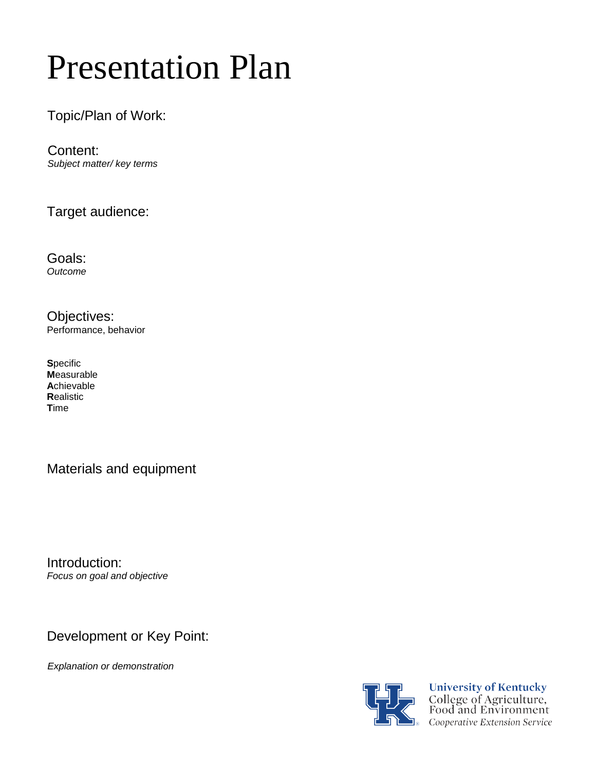## Presentation Plan

Topic/Plan of Work:

Content: *Subject matter/ key terms*

Target audience:

Goals: *Outcome*

Objectives: Performance, behavior

**S**pecific **M**easurable **A**chievable **R**ealistic **T**ime

Materials and equipment

Introduction: *Focus on goal and objective*

Development or Key Point:

*Explanation or demonstration*



University of Kentucky<br>College of Agriculture,<br>Food and Environment Cooperative Extension Service